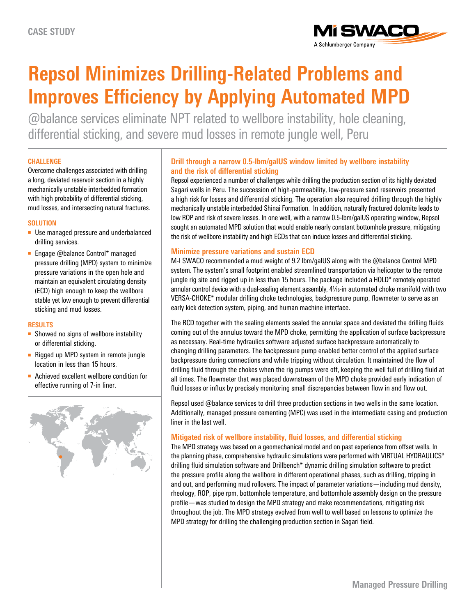

# **Repsol Minimizes Drilling-Related Problems and Improves Efficiency by Applying Automated MPD**

@balance services eliminate NPT related to wellbore instability, hole cleaning, differential sticking, and severe mud losses in remote jungle well, Peru

## **CHALLENGE**

Overcome challenges associated with drilling a long, deviated reservoir section in a highly mechanically unstable interbedded formation with high probability of differential sticking, mud losses, and intersecting natural fractures.

## **SOLUTION**

- Use managed pressure and underbalanced drilling services.
- Engage @balance Control\* managed pressure drilling (MPD) system to minimize pressure variations in the open hole and maintain an equivalent circulating density (ECD) high enough to keep the wellbore stable yet low enough to prevent differential sticking and mud losses.

### **RESULTS**

- Showed no signs of wellbore instability or differential sticking.
- Rigged up MPD system in remote jungle location in less than 15 hours.
- Achieved excellent wellbore condition for effective running of 7-in liner.



# **Drill through a narrow 0.5-lbm/galUS window limited by wellbore instability and the risk of differential sticking**

Repsol experienced a number of challenges while drilling the production section of its highly deviated Sagari wells in Peru. The succession of high-permeability, low-pressure sand reservoirs presented a high risk for losses and differential sticking. The operation also required drilling through the highly mechanically unstable interbedded Shinai Formation. In addition, naturally fractured dolomite leads to low ROP and risk of severe losses. In one well, with a narrow 0.5-lbm/galUS operating window, Repsol sought an automated MPD solution that would enable nearly constant bottomhole pressure, mitigating the risk of wellbore instability and high ECDs that can induce losses and differential sticking.

## **Minimize pressure variations and sustain ECD**

M-I SWACO recommended a mud weight of 9.2 lbm/galUS along with the @balance Control MPD system. The system's small footprint enabled streamlined transportation via helicopter to the remote jungle rig site and rigged up in less than 15 hours. The package included a HOLD\* remotely operated annular control device with a dual-sealing element assembly,  $4\frac{1}{8}$ -in automated choke manifold with two VERSA-CHOKE\* modular drilling choke technologies, backpressure pump, flowmeter to serve as an early kick detection system, piping, and human machine interface.

The RCD together with the sealing elements sealed the annular space and deviated the drilling fluids coming out of the annulus toward the MPD choke, permitting the application of surface backpressure as necessary. Real-time hydraulics software adjusted surface backpressure automatically to changing drilling parameters. The backpressure pump enabled better control of the applied surface backpressure during connections and while tripping without circulation. It maintained the flow of drilling fluid through the chokes when the rig pumps were off, keeping the well full of drilling fluid at all times. The flowmeter that was placed downstream of the MPD choke provided early indication of fluid losses or influx by precisely monitoring small discrepancies between flow in and flow out.

Repsol used @balance services to drill three production sections in two wells in the same location. Additionally, managed pressure cementing (MPC) was used in the intermediate casing and production liner in the last well.

## **Mitigated risk of wellbore instability, fluid losses, and differential sticking**

The MPD strategy was based on a geomechanical model and on past experience from offset wells. In the planning phase, comprehensive hydraulic simulations were performed with VIRTUAL HYDRAULICS\* drilling fluid simulation software and Drillbench\* dynamic drilling simulation software to predict the pressure profile along the wellbore in different operational phases, such as drilling, tripping in and out, and performing mud rollovers. The impact of parameter variations—including mud density, rheology, ROP, pipe rpm, bottomhole temperature, and bottomhole assembly design on the pressure profile—was studied to design the MPD strategy and make recommendations, mitigating risk throughout the job. The MPD strategy evolved from well to well based on lessons to optimize the MPD strategy for drilling the challenging production section in Sagari field.